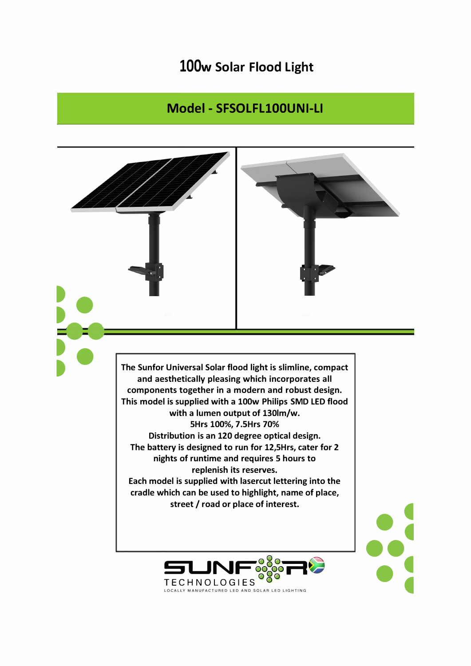## 100w Solar Flood Light

## Model - SFSOLFL100UNI-LI



**TECHNOLOGIES** LOCALLY MANUFACTURED LED AND SOLAR LED LIGHTING